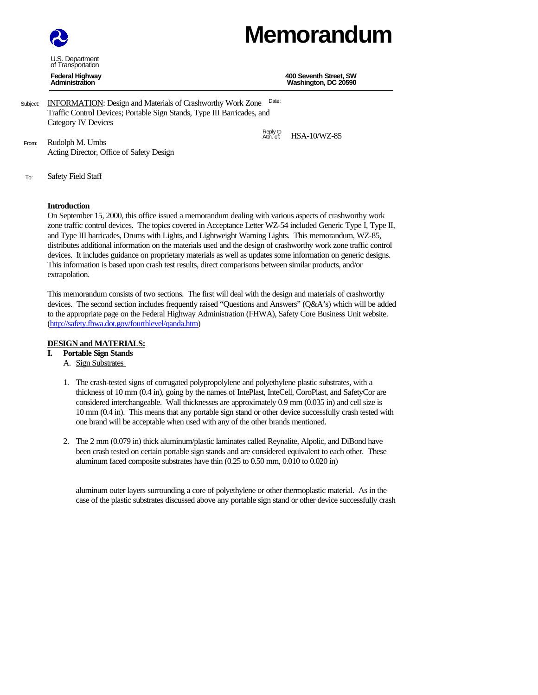# **Memorandum**

U.S. Department of Transportation

**Federal Highway 400 Seventh Street, SW Washington, DC 20590** 

HSA-10/WZ-85

- Subject: **INFORMATION**: Design and Materials of Crashworthy Work Zone Date: Traffic Control Devices; Portable Sign Stands, Type III Barricades, and Category IV Devices Reply to<br>Attn. of:
- From: Rudolph M. Umbs Acting Director, Office of Safety Design
- To: Safety Field Staff

# **Introduction**

On September 15, 2000, this office issued a memorandum dealing with various aspects of crashworthy work zone traffic control devices. The topics covered in Acceptance Letter WZ-54 included Generic Type I, Type II, and Type III barricades, Drums with Lights, and Lightweight Warning Lights. This memorandum, WZ-85, distributes additional information on the materials used and the design of crashworthy work zone traffic control devices. It includes guidance on proprietary materials as well as updates some information on generic designs. This information is based upon crash test results, direct comparisons between similar products, and/or extrapolation.

This memorandum consists of two sections. The first will deal with the design and materials of crashworthy devices. The second section includes frequently raised "Questions and Answers" (Q&A's) which will be added to the appropriate page on the Federal Highway Administration (FHWA), Safety Core Business Unit website. (http://safety.fhwa.dot.gov/fourthlevel/qanda.htm)

# **DESIGN and MATERIALS:**

- **I. Portable Sign Stands**
	- A. Sign Substrates
	- 1. The crash-tested signs of corrugated polypropolylene and polyethylene plastic substrates, with a thickness of 10 mm (0.4 in), going by the names of IntePlast, InteCell, CoroPlast, and SafetyCor are considered interchangeable. Wall thicknesses are approximately 0.9 mm (0.035 in) and cell size is 10 mm (0.4 in). This means that any portable sign stand or other device successfully crash tested with one brand will be acceptable when used with any of the other brands mentioned.
	- 2. The 2 mm (0.079 in) thick aluminum/plastic laminates called Reynalite, Alpolic, and DiBond have been crash tested on certain portable sign stands and are considered equivalent to each other. These aluminum faced composite substrates have thin (0.25 to 0.50 mm, 0.010 to 0.020 in)

aluminum outer layers surrounding a core of polyethylene or other thermoplastic material. As in the case of the plastic substrates discussed above any portable sign stand or other device successfully crash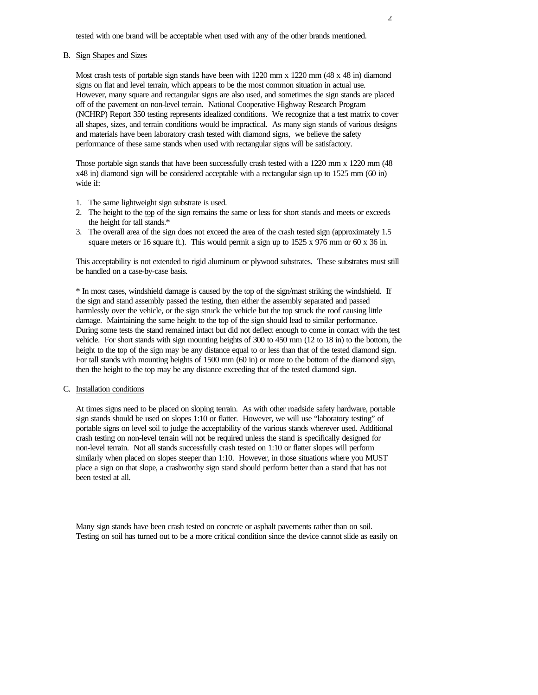tested with one brand will be acceptable when used with any of the other brands mentioned.

#### B. Sign Shapes and Sizes

Most crash tests of portable sign stands have been with 1220 mm x 1220 mm (48 x 48 in) diamond signs on flat and level terrain, which appears to be the most common situation in actual use. However, many square and rectangular signs are also used, and sometimes the sign stands are placed off of the pavement on non-level terrain. National Cooperative Highway Research Program (NCHRP) Report 350 testing represents idealized conditions. We recognize that a test matrix to cover all shapes, sizes, and terrain conditions would be impractical. As many sign stands of various designs and materials have been laboratory crash tested with diamond signs, we believe the safety performance of these same stands when used with rectangular signs will be satisfactory.

Those portable sign stands that have been successfully crash tested with a 1220 mm x 1220 mm (48) x48 in) diamond sign will be considered acceptable with a rectangular sign up to 1525 mm (60 in) wide if:

- 1. The same lightweight sign substrate is used.
- 2. The height to the top of the sign remains the same or less for short stands and meets or exceeds the height for tall stands.\*
- 3. The overall area of the sign does not exceed the area of the crash tested sign (approximately 1.5 square meters or 16 square ft.). This would permit a sign up to 1525 x 976 mm or 60 x 36 in.

This acceptability is not extended to rigid aluminum or plywood substrates. These substrates must still be handled on a case-by-case basis.

\* In most cases, windshield damage is caused by the top of the sign/mast striking the windshield. If the sign and stand assembly passed the testing, then either the assembly separated and passed harmlessly over the vehicle, or the sign struck the vehicle but the top struck the roof causing little damage. Maintaining the same height to the top of the sign should lead to similar performance. During some tests the stand remained intact but did not deflect enough to come in contact with the test vehicle. For short stands with sign mounting heights of 300 to 450 mm (12 to 18 in) to the bottom, the height to the top of the sign may be any distance equal to or less than that of the tested diamond sign. For tall stands with mounting heights of 1500 mm (60 in) or more to the bottom of the diamond sign, then the height to the top may be any distance exceeding that of the tested diamond sign.

#### C. Installation conditions

At times signs need to be placed on sloping terrain. As with other roadside safety hardware, portable sign stands should be used on slopes 1:10 or flatter. However, we will use "laboratory testing" of portable signs on level soil to judge the acceptability of the various stands wherever used. Additional crash testing on non-level terrain will not be required unless the stand is specifically designed for non-level terrain. Not all stands successfully crash tested on 1:10 or flatter slopes will perform similarly when placed on slopes steeper than 1:10. However, in those situations where you MUST place a sign on that slope, a crashworthy sign stand should perform better than a stand that has not been tested at all.

Many sign stands have been crash tested on concrete or asphalt pavements rather than on soil. Testing on soil has turned out to be a more critical condition since the device cannot slide as easily on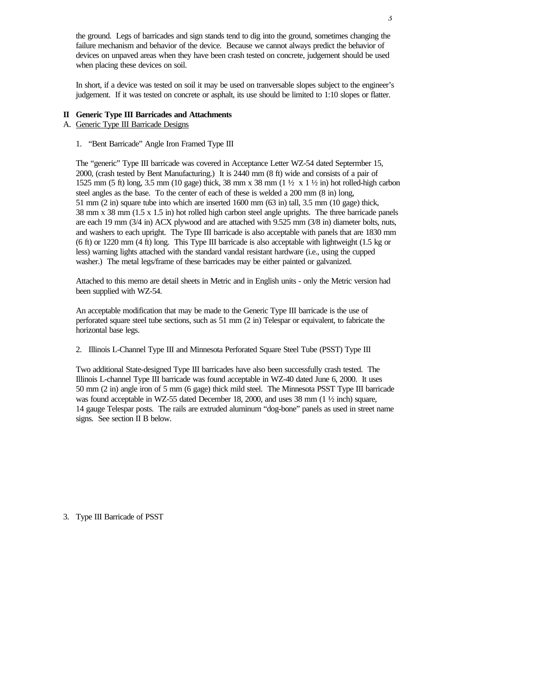the ground. Legs of barricades and sign stands tend to dig into the ground, sometimes changing the failure mechanism and behavior of the device. Because we cannot always predict the behavior of devices on unpaved areas when they have been crash tested on concrete, judgement should be used when placing these devices on soil.

In short, if a device was tested on soil it may be used on tranversable slopes subject to the engineer's judgement. If it was tested on concrete or asphalt, its use should be limited to 1:10 slopes or flatter.

## **II Generic Type III Barricades and Attachments**

# A. Generic Type III Barricade Designs

1. "Bent Barricade" Angle Iron Framed Type III

The "generic" Type III barricade was covered in Acceptance Letter WZ-54 dated Septermber 15, 2000, (crash tested by Bent Manufacturing.) It is 2440 mm (8 ft) wide and consists of a pair of 1525 mm (5 ft) long, 3.5 mm (10 gage) thick, 38 mm x 38 mm (1  $\frac{1}{2}$  x 1  $\frac{1}{2}$  in) hot rolled-high carbon steel angles as the base. To the center of each of these is welded a 200 mm (8 in) long, 51 mm (2 in) square tube into which are inserted 1600 mm (63 in) tall, 3.5 mm (10 gage) thick, 38 mm x 38 mm (1.5 x 1.5 in) hot rolled high carbon steel angle uprights. The three barricade panels are each 19 mm (3/4 in) ACX plywood and are attached with 9.525 mm (3/8 in) diameter bolts, nuts, and washers to each upright. The Type III barricade is also acceptable with panels that are 1830 mm (6 ft) or 1220 mm (4 ft) long. This Type III barricade is also acceptable with lightweight (1.5 kg or less) warning lights attached with the standard vandal resistant hardware (i.e., using the cupped washer.) The metal legs/frame of these barricades may be either painted or galvanized.

Attached to this memo are detail sheets in Metric and in English units - only the Metric version had been supplied with WZ-54.

An acceptable modification that may be made to the Generic Type III barricade is the use of perforated square steel tube sections, such as 51 mm (2 in) Telespar or equivalent, to fabricate the horizontal base legs.

2. Illinois L-Channel Type III and Minnesota Perforated Square Steel Tube (PSST) Type III

Two additional State-designed Type III barricades have also been successfully crash tested. The Illinois L-channel Type III barricade was found acceptable in WZ-40 dated June 6, 2000. It uses 50 mm (2 in) angle iron of 5 mm (6 gage) thick mild steel. The Minnesota PSST Type III barricade was found acceptable in WZ-55 dated December 18, 2000, and uses 38 mm (1 ½ inch) square, 14 gauge Telespar posts. The rails are extruded aluminum "dog-bone" panels as used in street name signs. See section II B below.

3. Type III Barricade of PSST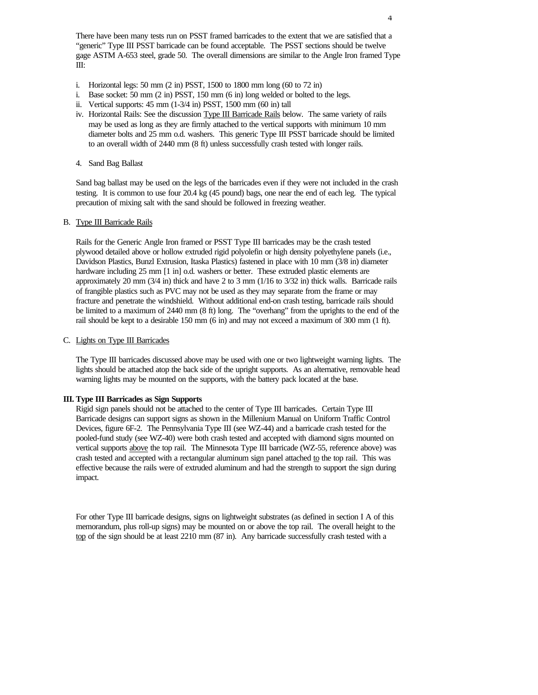There have been many tests run on PSST framed barricades to the extent that we are satisfied that a "generic" Type III PSST barricade can be found acceptable. The PSST sections should be twelve gage ASTM A-653 steel, grade 50. The overall dimensions are similar to the Angle Iron framed Type III:

- i. Horizontal legs: 50 mm (2 in) PSST, 1500 to 1800 mm long (60 to 72 in)
- i. Base socket: 50 mm (2 in) PSST, 150 mm (6 in) long welded or bolted to the legs.
- ii. Vertical supports: 45 mm (1-3/4 in) PSST, 1500 mm (60 in) tall
- iv. Horizontal Rails: See the discussion Type III Barricade Rails below. The same variety of rails may be used as long as they are firmly attached to the vertical supports with minimum 10 mm diameter bolts and 25 mm o.d. washers. This generic Type III PSST barricade should be limited to an overall width of 2440 mm (8 ft) unless successfully crash tested with longer rails.
- 4. Sand Bag Ballast

Sand bag ballast may be used on the legs of the barricades even if they were not included in the crash testing. It is common to use four 20.4 kg (45 pound) bags, one near the end of each leg. The typical precaution of mixing salt with the sand should be followed in freezing weather.

#### B. Type III Barricade Rails

Rails for the Generic Angle Iron framed or PSST Type III barricades may be the crash tested plywood detailed above or hollow extruded rigid polyolefin or high density polyethylene panels (i.e., Davidson Plastics, Bunzl Extrusion, Itaska Plastics) fastened in place with 10 mm (3/8 in) diameter hardware including 25 mm [1 in] o.d. washers or better. These extruded plastic elements are approximately 20 mm (3/4 in) thick and have 2 to 3 mm (1/16 to 3/32 in) thick walls. Barricade rails of frangible plastics such as PVC may not be used as they may separate from the frame or may fracture and penetrate the windshield. Without additional end-on crash testing, barricade rails should be limited to a maximum of 2440 mm (8 ft) long. The "overhang" from the uprights to the end of the rail should be kept to a desirable 150 mm (6 in) and may not exceed a maximum of 300 mm (1 ft).

#### C. Lights on Type III Barricades

The Type III barricades discussed above may be used with one or two lightweight warning lights. The lights should be attached atop the back side of the upright supports. As an alternative, removable head warning lights may be mounted on the supports, with the battery pack located at the base.

#### **III. Type III Barricades as Sign Supports**

Rigid sign panels should not be attached to the center of Type III barricades. Certain Type III Barricade designs can support signs as shown in the Millenium Manual on Uniform Traffic Control Devices, figure 6F-2. The Pennsylvania Type III (see WZ-44) and a barricade crash tested for the pooled-fund study (see WZ-40) were both crash tested and accepted with diamond signs mounted on vertical supports above the top rail. The Minnesota Type III barricade (WZ-55, reference above) was crash tested and accepted with a rectangular aluminum sign panel attached to the top rail. This was effective because the rails were of extruded aluminum and had the strength to support the sign during impact.

For other Type III barricade designs, signs on lightweight substrates (as defined in section I A of this memorandum, plus roll-up signs) may be mounted on or above the top rail. The overall height to the top of the sign should be at least 2210 mm (87 in). Any barricade successfully crash tested with a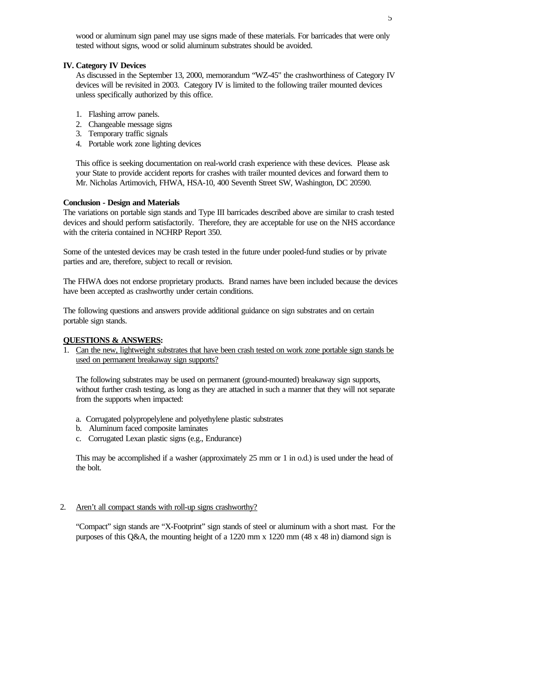wood or aluminum sign panel may use signs made of these materials. For barricades that were only tested without signs, wood or solid aluminum substrates should be avoided.

#### **IV. Category IV Devices**

As discussed in the September 13, 2000, memorandum "WZ-45" the crashworthiness of Category IV devices will be revisited in 2003. Category IV is limited to the following trailer mounted devices unless specifically authorized by this office.

- 1. Flashing arrow panels.
- 2. Changeable message signs
- 3. Temporary traffic signals
- 4. Portable work zone lighting devices

This office is seeking documentation on real-world crash experience with these devices. Please ask your State to provide accident reports for crashes with trailer mounted devices and forward them to Mr. Nicholas Artimovich, FHWA, HSA-10, 400 Seventh Street SW, Washington, DC 20590.

#### **Conclusion - Design and Materials**

The variations on portable sign stands and Type III barricades described above are similar to crash tested devices and should perform satisfactorily. Therefore, they are acceptable for use on the NHS accordance with the criteria contained in NCHRP Report 350.

Some of the untested devices may be crash tested in the future under pooled-fund studies or by private parties and are, therefore, subject to recall or revision.

The FHWA does not endorse proprietary products. Brand names have been included because the devices have been accepted as crashworthy under certain conditions.

The following questions and answers provide additional guidance on sign substrates and on certain portable sign stands.

### **QUESTIONS & ANSWERS:**

1. Can the new, lightweight substrates that have been crash tested on work zone portable sign stands be used on permanent breakaway sign supports?

The following substrates may be used on permanent (ground-mounted) breakaway sign supports, without further crash testing, as long as they are attached in such a manner that they will not separate from the supports when impacted:

- a. Corrugated polypropelylene and polyethylene plastic substrates
- b. Aluminum faced composite laminates
- c. Corrugated Lexan plastic signs (e.g., Endurance)

This may be accomplished if a washer (approximately 25 mm or 1 in o.d.) is used under the head of the bolt.

## 2. Aren't all compact stands with roll-up signs crashworthy?

"Compact" sign stands are "X-Footprint" sign stands of steel or aluminum with a short mast. For the purposes of this Q&A, the mounting height of a 1220 mm x 1220 mm (48 x 48 in) diamond sign is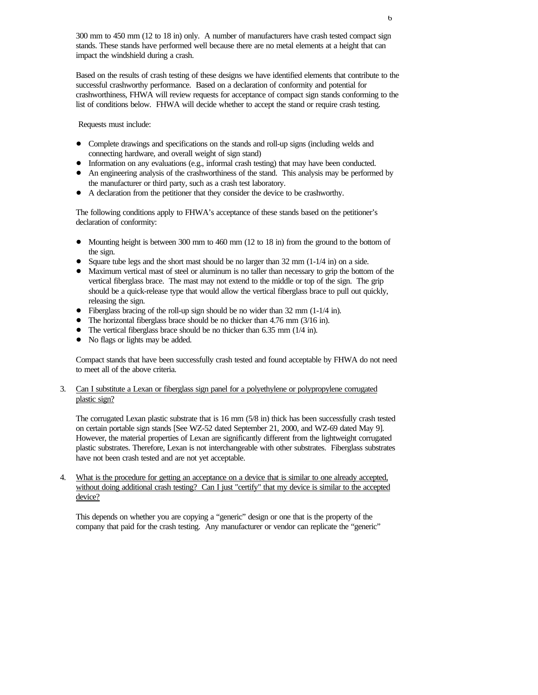300 mm to 450 mm (12 to 18 in) only. A number of manufacturers have crash tested compact sign stands. These stands have performed well because there are no metal elements at a height that can impact the windshield during a crash.

Based on the results of crash testing of these designs we have identified elements that contribute to the successful crashworthy performance. Based on a declaration of conformity and potential for crashworthiness, FHWA will review requests for acceptance of compact sign stands conforming to the list of conditions below. FHWA will decide whether to accept the stand or require crash testing.

Requests must include:

- ! Complete drawings and specifications on the stands and roll-up signs (including welds and connecting hardware, and overall weight of sign stand)
- Information on any evaluations (e.g., informal crash testing) that may have been conducted.
- ! An engineering analysis of the crashworthiness of the stand. This analysis may be performed by the manufacturer or third party, such as a crash test laboratory.
- ! A declaration from the petitioner that they consider the device to be crashworthy.

The following conditions apply to FHWA's acceptance of these stands based on the petitioner's declaration of conformity:

- Mounting height is between 300 mm to 460 mm (12 to 18 in) from the ground to the bottom of the sign.
- Square tube legs and the short mast should be no larger than  $32 \text{ mm } (1-1/4 \text{ in})$  on a side.
- ! Maximum vertical mast of steel or aluminum is no taller than necessary to grip the bottom of the vertical fiberglass brace. The mast may not extend to the middle or top of the sign. The grip should be a quick-release type that would allow the vertical fiberglass brace to pull out quickly, releasing the sign.
- ! Fiberglass bracing of the roll-up sign should be no wider than 32 mm (1-1/4 in).
- ! The horizontal fiberglass brace should be no thicker than 4.76 mm (3/16 in).
- ! The vertical fiberglass brace should be no thicker than 6.35 mm (1/4 in).
- ! No flags or lights may be added.

Compact stands that have been successfully crash tested and found acceptable by FHWA do not need to meet all of the above criteria.

## 3. Can I substitute a Lexan or fiberglass sign panel for a polyethylene or polypropylene corrugated plastic sign?

The corrugated Lexan plastic substrate that is 16 mm (5/8 in) thick has been successfully crash tested on certain portable sign stands [See WZ-52 dated September 21, 2000, and WZ-69 dated May 9]. However, the material properties of Lexan are significantly different from the lightweight corrugated plastic substrates. Therefore, Lexan is not interchangeable with other substrates. Fiberglass substrates have not been crash tested and are not yet acceptable.

4. What is the procedure for getting an acceptance on a device that is similar to one already accepted, without doing additional crash testing? Can I just "certify" that my device is similar to the accepted device?

This depends on whether you are copying a "generic" design or one that is the property of the company that paid for the crash testing. Any manufacturer or vendor can replicate the "generic"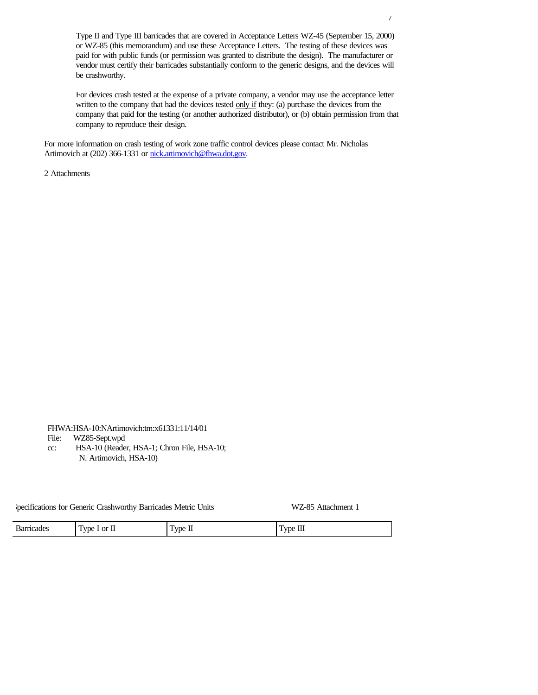Type II and Type III barricades that are covered in Acceptance Letters WZ-45 (September 15, 2000) or WZ-85 (this memorandum) and use these Acceptance Letters. The testing of these devices was paid for with public funds (or permission was granted to distribute the design). The manufacturer or vendor must certify their barricades substantially conform to the generic designs, and the devices will be crashworthy.

For devices crash tested at the expense of a private company, a vendor may use the acceptance letter written to the company that had the devices tested only if they: (a) purchase the devices from the company that paid for the testing (or another authorized distributor), or (b) obtain permission from that company to reproduce their design.

For more information on crash testing of work zone traffic control devices please contact Mr. Nicholas Artimovich at (202) 366-1331 or nick.artimovich@fhwa.dot.gov.

2 Attachments

FHWA:HSA-10:NArtimovich:tm:x61331:11/14/01 File: WZ85-Sept.wpd cc: HSA-10 (Reader, HSA-1; Chron File, HSA-10; N. Artimovich, HSA-10)

Specifications for Generic Crashworthy Barricades Metric Units WZ-85 Attachment 1

| $\overline{\phantom{a}}$<br>$\sim$<br>$\overline{\phantom{a}}$<br>Ωr<br>$\mathbf{m}$<br>T T T<br><b>STATISTICS</b><br>яае<br><b>VDC</b><br>VIA.<br>$\mathbf{z}$<br>ш<br><br><br>$\overline{\phantom{a}}$<br>. .<br>. . |
|------------------------------------------------------------------------------------------------------------------------------------------------------------------------------------------------------------------------|
|------------------------------------------------------------------------------------------------------------------------------------------------------------------------------------------------------------------------|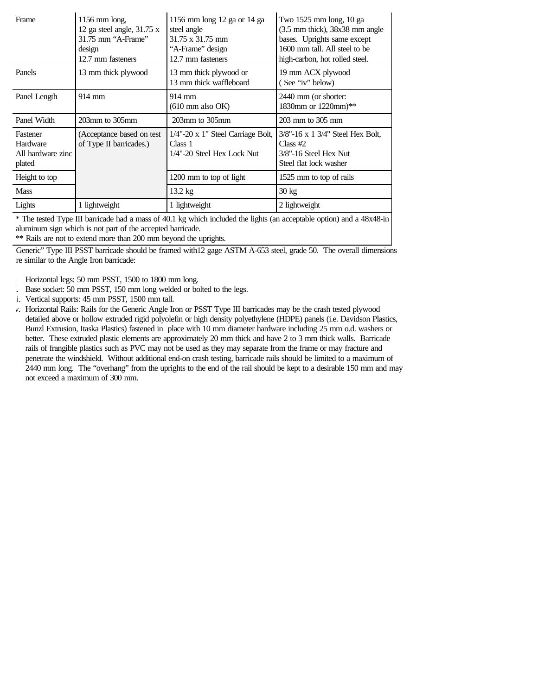| Frame                       | $1156$ mm long,<br>12 ga steel angle, 31.75 x<br>31.75 mm "A-Frame"<br>design<br>12.7 mm fasteners | 1156 mm long 12 ga or 14 ga<br>steel angle<br>$31.75 \times 31.75$ mm<br>"A-Frame" design<br>12.7 mm fasteners | Two 1525 mm long, 10 ga<br>$(3.5$ mm thick), $38x38$ mm angle<br>bases. Uprights same except<br>1600 mm tall. All steel to be<br>high-carbon, hot rolled steel. |
|-----------------------------|----------------------------------------------------------------------------------------------------|----------------------------------------------------------------------------------------------------------------|-----------------------------------------------------------------------------------------------------------------------------------------------------------------|
| Panels                      | 13 mm thick plywood                                                                                | 13 mm thick plywood or<br>13 mm thick waffleboard                                                              | 19 mm ACX plywood<br>(See "iv" below)                                                                                                                           |
| Panel Length                | $914 \text{ mm}$                                                                                   | 914 mm<br>$(610 \text{ mm also OK})$                                                                           | 2440 mm (or shorter:<br>1830mm or 1220mm)**                                                                                                                     |
| Panel Width                 | $203$ mm to $305$ mm                                                                               | $203$ mm to $305$ mm                                                                                           | 203 mm to 305 mm                                                                                                                                                |
| Fastener<br>Hardware        | (Acceptance based on test)<br>of Type II barricades.)                                              | 1/4"-20 x 1" Steel Carriage Bolt,                                                                              | $3/8$ "-16 x 1 $3/4$ " Steel Hex Bolt,                                                                                                                          |
| All hardware zinc<br>plated |                                                                                                    | Class 1<br>1/4"-20 Steel Hex Lock Nut                                                                          | Class $#2$<br>3/8"-16 Steel Hex Nut<br>Steel flat lock washer                                                                                                   |
| Height to top               |                                                                                                    | 1200 mm to top of light                                                                                        | 1525 mm to top of rails                                                                                                                                         |
| <b>Mass</b>                 |                                                                                                    | $13.2 \text{ kg}$                                                                                              | $30 \text{ kg}$                                                                                                                                                 |

\* The tested Type III barricade had a mass of 40.1 kg which included the lights (an acceptable option) and a 48x48-in aluminum sign which is not part of the accepted barricade.

\*\* Rails are not to extend more than 200 mm beyond the uprights.

Generic" Type III PSST barricade should be framed with12 gage ASTM A-653 steel, grade 50. The overall dimensions are similar to the Angle Iron barricade:

- Horizontal legs: 50 mm PSST, 1500 to 1800 mm long.
- ii. Base socket: 50 mm PSST, 150 mm long welded or bolted to the legs.
- ii. Vertical supports: 45 mm PSST, 1500 mm tall.
- v. Horizontal Rails: Rails for the Generic Angle Iron or PSST Type III barricades may be the crash tested plywood detailed above or hollow extruded rigid polyolefin or high density polyethylene (HDPE) panels (i.e. Davidson Plastics, Bunzl Extrusion, Itaska Plastics) fastened in place with 10 mm diameter hardware including 25 mm o.d. washers or better. These extruded plastic elements are approximately 20 mm thick and have 2 to 3 mm thick walls. Barricade rails of frangible plastics such as PVC may not be used as they may separate from the frame or may fracture and penetrate the windshield. Without additional end-on crash testing, barricade rails should be limited to a maximum of 2440 mm long. The "overhang" from the uprights to the end of the rail should be kept to a desirable 150 mm and may not exceed a maximum of 300 mm.